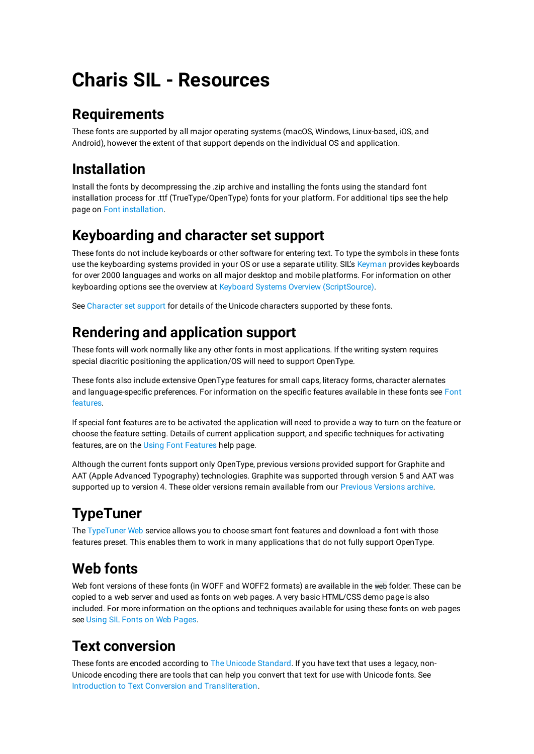# **Charis SIL - Resources**

## **Requirements**

These fonts are supported by all major operating systems (macOS, Windows, Linux-based, iOS, and Android), however the extent of that support depends on the individual OS and application.

# **Installation**

Install the fonts by decompressing the .zip archive and installing the fonts using the standard font installation process for .ttf (TrueType/OpenType) fonts for your platform. For additional tips see the help page on [Font installation.](file:///Users/victor/Work/Roman/Charis/font-charis/documentation/pdf/https:/software.sil.org/fonts/installation)

## **Keyboarding and character set support**

These fonts do not include keyboards or other software for entering text. To type the symbols in these fonts use the keyboarding systems provided in your OS or use a separate utility. SIL's [Keyman](file:///Users/victor/Work/Roman/Charis/font-charis/documentation/pdf/https:/keyman.com/) provides keyboards for over 2000 languages and works on all major desktop and mobile platforms. For information on other keyboarding options see the overview at [Keyboard Systems Overview \(ScriptSource\).](file:///Users/victor/Work/Roman/Charis/font-charis/documentation/pdf/https:/scriptsource.org/entry/ytr8g8n6sw)

See [Character set support](file:///Users/victor/Work/Roman/Charis/font-charis/documentation/pdf/charset.pdf) for details of the Unicode characters supported by these fonts.

# **Rendering and application support**

These fonts will work normally like any other fonts in most applications. If the writing system requires special diacritic positioning the application/OS will need to support OpenType.

These fonts also include extensive OpenType features for small caps, literacy forms, character alernates and language-specific preferences. For information on the specific features available in these fonts see [Font](file:///Users/victor/Work/Roman/Charis/font-charis/documentation/pdf/features.pdf) [features](file:///Users/victor/Work/Roman/Charis/font-charis/documentation/pdf/features.pdf).

If special font features are to be activated the application will need to provide a way to turn on the feature or choose the feature setting. Details of current application support, and specific techniques for activating features, are on the [Using Font Features](file:///Users/victor/Work/Roman/Charis/font-charis/documentation/pdf/http:/software.sil.org/fonts/features) help page.

Although the current fonts support only OpenType, previous versions provided support for Graphite and AAT (Apple Advanced Typography) technologies. Graphite was supported through version 5 and AAT was supported up to version 4. These older versions remain available from our [Previous Versions archive.](file:///Users/victor/Work/Roman/Charis/font-charis/documentation/pdf/http:/software.sil.org/charis/download/previous-versions)

# **TypeTuner**

The [TypeTuner Web](file:///Users/victor/Work/Roman/Charis/font-charis/documentation/pdf/https:/scripts.sil.org/ttw/fonts2go.cgi) service allows you to choose smart font features and download a font with those features preset. This enables them to work in many applications that do not fully support OpenType.

## **Web fonts**

Web font versions of these fonts (in WOFF and WOFF2 formats) are available in the web folder. These can be copied to a web server and used as fonts on web pages. A very basic HTML/CSS demo page is also included. For more information on the options and techniques available for using these fonts on web pages see [Using SIL Fonts on Web Pages](file:///Users/victor/Work/Roman/Charis/font-charis/documentation/pdf/http:/software.sil.org/fonts/webfonts).

## **Text conversion**

These fonts are encoded according to [The Unicode Standard.](file:///Users/victor/Work/Roman/Charis/font-charis/documentation/pdf/http:/unicode.org) If you have text that uses a legacy, non-Unicode encoding there are tools that can help you convert that text for use with Unicode fonts. See [Introduction to Text Conversion and Transliteration](file:///Users/victor/Work/Roman/Charis/font-charis/documentation/pdf/https:/scriptsource.org/entry/xlzd6n5aqt).